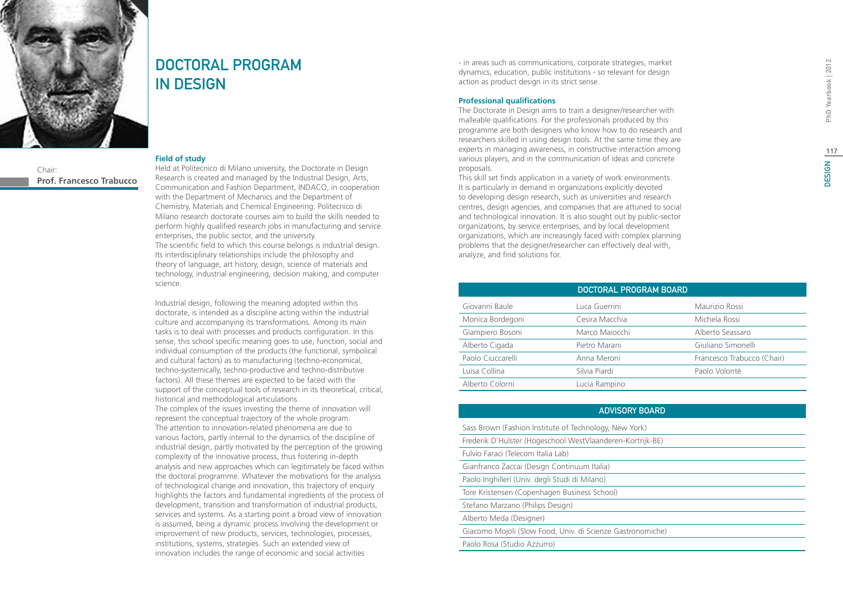# **117DESIGN**

# in Design

# Chair: **Prof. Francesco Trabucco**

**116**

# DOCTORAL PROGRAM

### **Field of study**

Held at Politecnico di Milano university, the Doctorate in Design Research is created and managed by the Industrial Design, Arts, Communication and Fashion Department, INDACO, in cooperation with the Department of Mechanics and the Department of Chemistry, Materials and Chemical Engineering. Politecnico di Milano research doctorate courses aim to build the skills needed to perform highly qualified research jobs in manufacturing and service enterprises, the public sector, and the university. The scientific field to which this course belongs is industrial design. Its interdisciplinary relationships include the philosophy and theory of language, art history, design, science of materials and technology, industrial engineering, decision making, and computer science.

Industrial design, following the meaning adopted within this doctorate, is intended as a discipline acting within the industrial culture and accompanying its transformations. Among its main tasks is to deal with processes and products configuration. In this sense, this school specific meaning goes to use, function, social and individual consumption of the products (the functional, symbolical and cultural factors) as to manufacturing (techno-economical, techno-systemically, techno-productive and techno-distributive factors). All these themes are expected to be faced with the support of the conceptual tools of research in its theoretical, critical, historical and methodological articulations.

The complex of the issues investing the theme of innovation will represent the conceptual trajectory of the whole program. The attention to innovation-related phenomena are due to various factors, partly internal to the dynamics of the discipline of industrial design, partly motivated by the perception of the growing complexity of the innovative process, thus fostering in-depth analysis and new approaches which can legitimately be faced within the doctoral programme. Whatever the motivations for the analysis of technological change and innovation, this trajectory of enquiry highlights the factors and fundamental ingredients of the process of development, transition and transformation of industrial products, services and systems. As a starting point a broad view of innovation is assumed, being a dynamic process involving the development or improvement of new products, services, technologies, processes, institutions, systems, strategies. Such an extended view of innovation includes the range of economic and social activities

- in areas such as communications, corporate strategies, market dynamics, education, public institutions - so relevant for design action as product design in its strict sense.

# **Professional qualifications**

The Doctorate in Design aims to train a designer/researcher with malleable qualifications. For the professionals produced by this programme are both designers who know how to do research and researchers skilled in using design tools. At the same time they are experts in managing awareness, in constructive interaction among various players, and in the communication of ideas and concrete proposals.

This skill set finds application in a variety of work environments. It is particularly in demand in organizations explicitly devoted to developing design research, such as universities and research centres, design agencies, and companies that are attuned to social and technological innovation. It is also sought out by public-sector organizations, by service enterprises, and by local development organizations, which are increasingly faced with complex planning problems that the designer/researcher can effectively deal with, analyze, and find solutions for.

|                   | <b>DOCTORAL PROGRAM BOARD</b>  |                            |  |  |
|-------------------|--------------------------------|----------------------------|--|--|
| Giovanni Baule    | Luca Guerrini                  | Maurizio Rossi             |  |  |
| Monica Bordegoni  | Cesira Macchia                 | Michela Rossi              |  |  |
| Giampiero Bosoni  | Marco Maiocchi                 | Alberto Seassaro           |  |  |
| Alberto Cigada    | Pietro Marani                  | Giuliano Simonelli         |  |  |
| Paolo Ciuccarelli | Anna Meroni                    | Francesco Trabucco (Chair) |  |  |
| Luisa Collina     | Silvia Piardi<br>Paolo Volontè |                            |  |  |
| Alberto Colorni   | Lucia Rampino                  |                            |  |  |

# Advisory Board

Sass Brown (Fashion Institute of Technology, New York) Frederik D'Hulster (Hogeschool WestVlaanderen-Kortrijk-BE) Fulvio Faraci (Telecom Italia Lab) Gianfranco Zaccai (Design Continuum Italia) Paolo Inghilleri (Univ. degli Studi di Milano) Tore Kristensen (Copenhagen Business School) Stefano Marzano (Philips Design) Alberto Meda (Designer) Giacomo Mojoli (Slow Food, Univ. di Scienze Gastronomiche) Paolo Rosa (Studio Azzurro)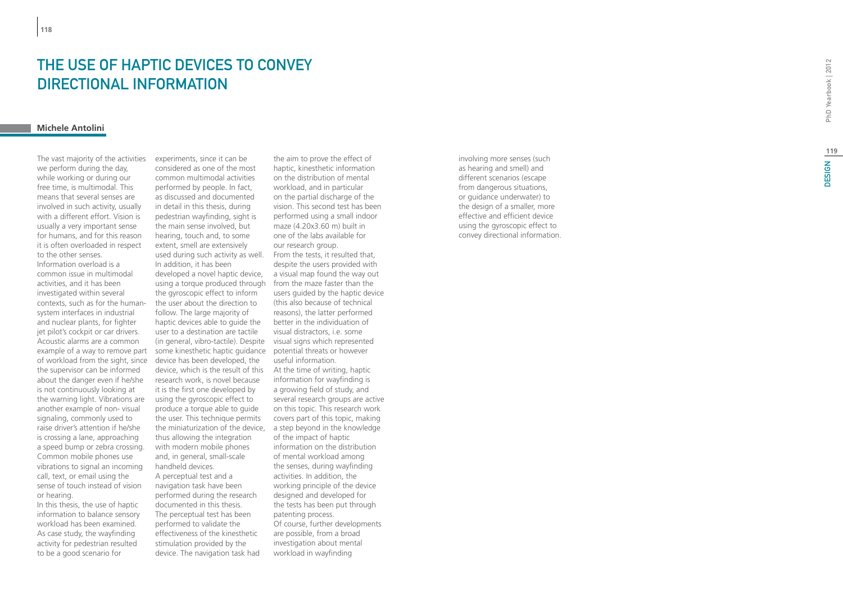# THE USE OF HAPTIC DEVICES TO CON DIRECTIONAL INFORMATION

# **Michele Antolini**

The vast majority of the activities we perform during the day, while working or during our free time, is multimodal. This means that several senses are involved in such activity, usually with a different effort. Vision is usually a very important sense for humans, and for this reason it is often overloaded in respect to the other senses. Information overload is a common issue in multimodal activities, and it has been investigated within several contexts, such as for the humansystem interfaces in industrial and nuclear plants, for fighter jet pilot's cockpit or car drivers. Acoustic alarms are a common example of a way to remove part of workload from the sight, since device has been developed, the the supervisor can be informed about the danger even if he/she is not continuously looking at the warning light. Vibrations are another example of non- visual signaling, commonly used to raise driver's attention if he/she is crossing a lane, approaching a speed bump or zebra crossing. Common mobile phones use vibrations to signal an incoming call, text, or email using the sense of touch instead of vision or hearing.

In this thesis, the use of haptic information to balance sensory workload has been examined. As case study, the wayfinding activity for pedestrian resulted to be a good scenario for

experiments, since it can be considered as one of the most common multimodal activities performed by people. In fact, as discussed and documented in detail in this thesis, during pedestrian wayfinding, sight is the main sense involved, but hearing, touch and, to some extent, smell are extensively used during such activity as well. In addition, it has been developed a novel haptic device, using a torque produced through the gyroscopic effect to inform the user about the direction to follow. The large majority of haptic devices able to guide the user to a destination are tactile (in general, vibro-tactile). Despite some kinesthetic haptic guidance potential threats or however device, which is the result of this At the time of writing, haptic research work, is novel because it is the first one developed by using the gyroscopic effect to produce a torque able to guide the user. This technique permits the miniaturization of the device, thus allowing the integration with modern mobile phones and, in general, small-scale handheld devices. A perceptual test and a navigation task have been performed during the research documented in this thesis. The perceptual test has been performed to validate the effectiveness of the kinesthetic stimulation provided by the device. The navigation task had

the aim to prove the effect of haptic, kinesthetic information on the distribution of mental workload, and in particular on the partial discharge of the vision. This second test has been performed using a small indoor maze (4.20x3.60 m) built in one of the labs available for our research group. From the tests, it resulted that, despite the users provided with a visual map found the way out from the maze faster than the users guided by the haptic device (this also because of technical reasons), the latter performed better in the individuation of visual distractors, i.e. some visual signs which represented useful information.

information for wayfinding is a growing field of study, and several research groups are active on this topic. This research work covers part of this topic, making a step beyond in the knowledge of the impact of haptic information on the distribution of mental workload among the senses, during wayfinding activities. In addition, the working principle of the device designed and developed for the tests has been put through patenting process. Of course, further developments are possible, from a broad investigation about mental workload in wayfinding

involving more senses (such as hearing and smell) and different scenarios (escape from dangerous situations, or guidance underwater) to the design of a smaller, more effective and efficient device using the gyroscopic effect to convey directional information.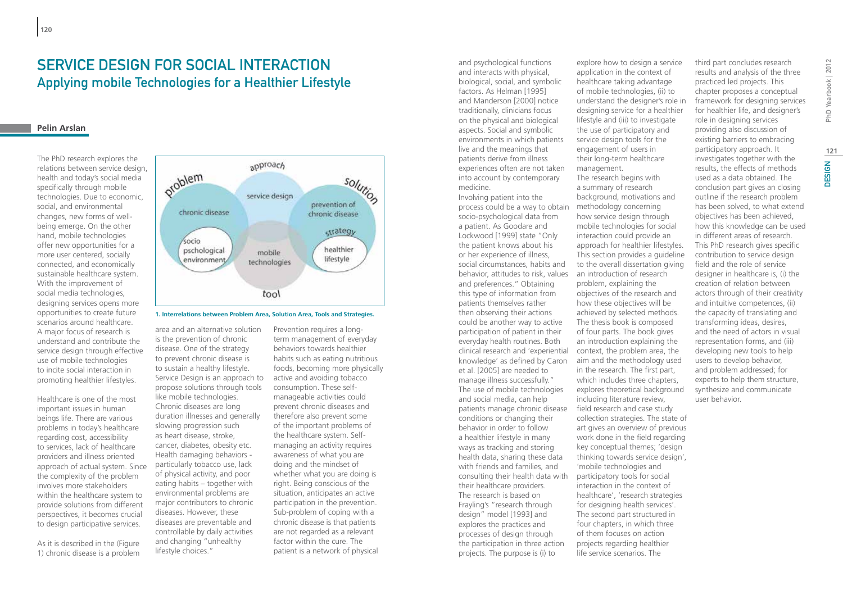# SERVICE DESIGN FOR SOCIAL INTERACTION Applying mobile Technologies for a Healthier Lifestyle

### **Pelin Arslan**

The PhD research explores the relations between service design, health and today's social media specifically through mobile technologies. Due to economic, social, and environmental changes, new forms of wellbeing emerge. On the other hand, mobile technologies offer new opportunities for a more user centered, socially connected, and economically sustainable healthcare system. With the improvement of social media technologies, designing services opens more opportunities to create future scenarios around healthcare. A major focus of research is understand and contribute the service design through effective use of mobile technologies to incite social interaction in promoting healthier lifestyles.

Healthcare is one of the most important issues in human beings life. There are various problems in today's healthcare regarding cost, accessibility to services, lack of healthcare providers and illness oriented approach of actual system. Since the complexity of the problem involves more stakeholders within the healthcare system to provide solutions from different perspectives, it becomes crucial to design participative services.

As it is described in the (Figure 1) chronic disease is a problem



### **1. Interrelations between Problem Area, Solution Area, Tools and Strategies.**

area and an alternative solution is the prevention of chronic disease. One of the strategy to prevent chronic disease is to sustain a healthy lifestyle. Service Design is an approach to active and avoiding tobacco propose solutions through tools like mobile technologies. Chronic diseases are long duration illnesses and generally slowing progression such as heart disease, stroke, cancer, diabetes, obesity etc. Health damaging behaviors particularly tobacco use, lack of physical activity, and poor eating habits – together with environmental problems are major contributors to chronic diseases. However, these diseases are preventable and controllable by daily activities and changing "unhealthy lifestyle choices."

Prevention requires a longterm management of everyday behaviors towards healthier habits such as eating nutritious foods, becoming more physically consumption. These selfmanageable activities could prevent chronic diseases and therefore also prevent some of the important problems of the healthcare system. Selfmanaging an activity requires awareness of what you are doing and the mindset of whether what you are doing is right. Being conscious of the situation, anticipates an active participation in the prevention. Sub-problem of coping with a chronic disease is that patients are not regarded as a relevant factor within the cure. The patient is a network of physical

and psychological functions and interacts with physical, biological, social, and symbolic factors. As Helman [1995] and Manderson [2000] notice traditionally, clinicians focus on the physical and biological aspects. Social and symbolic environments in which patients live and the meanings that patients derive from illness experiences often are not taken into account by contemporary medicine.

Involving patient into the process could be a way to obtain socio-psychological data from a patient. As Goodare and Lockwood [1999] state "Only the patient knows about his or her experience of illness, social circumstances, habits and behavior, attitudes to risk, values and preferences." Obtaining this type of information from patients themselves rather then observing their actions could be another way to active participation of patient in their everyday health routines. Both clinical research and 'experiential knowledge' as defined by Caron et al. [2005] are needed to manage illness successfully." The use of mobile technologies and social media, can help patients manage chronic disease conditions or changing their behavior in order to follow a healthier lifestyle in many ways as tracking and storing health data, sharing these data with friends and families, and consulting their health data with their healthcare providers. The research is based on Frayling's "research through design" model [1993] and explores the practices and processes of design through the participation in three action projects. The purpose is (i) to

explore how to design a service application in the context of healthcare taking advantage of mobile technologies, (ii) to understand the designer's role in designing service for a healthier lifestyle and (iii) to investigate the use of participatory and service design tools for the engagement of users in their long-term healthcare management. The research begins with a summary of research background, motivations and methodology concerning how service design through mobile technologies for social interaction could provide an approach for healthier lifestyles. This section provides a guideline to the overall dissertation giving an introduction of research problem, explaining the objectives of the research and how these objectives will be achieved by selected methods. The thesis book is composed of four parts. The book gives an introduction explaining the context, the problem area, the aim and the methodology used in the research. The first part, which includes three chapters. explores theoretical background including literature review, field research and case study collection strategies. The state of art gives an overview of previous work done in the field regarding key conceptual themes; 'design thinking towards service design', 'mobile technologies and participatory tools for social interaction in the context of healthcare', 'research strategies for designing health services'. The second part structured in four chapters, in which three of them focuses on action projects regarding healthier life service scenarios. The

results and analysis of the three practiced led projects. This chapter proposes a conceptual framework for designing services for healthier life, and designer's role in designing services providing also discussion of existing barriers to embracing participatory approach. It investigates together with the results, the effects of methods used as a data obtained. The conclusion part gives an closing outline if the research problem has been solved, to what extend objectives has been achieved, how this knowledge can be used in different areas of research. This PhD research gives specific contribution to service design field and the role of service designer in healthcare is, (i) the creation of relation between actors through of their creativity and intuitive competences, (ii) the capacity of translating and transforming ideas, desires, and the need of actors in visual representation forms, and (iii) developing new tools to help users to develop behavior, and problem addressed; for experts to help them structure, synthesize and communicate user behavior.

third part concludes research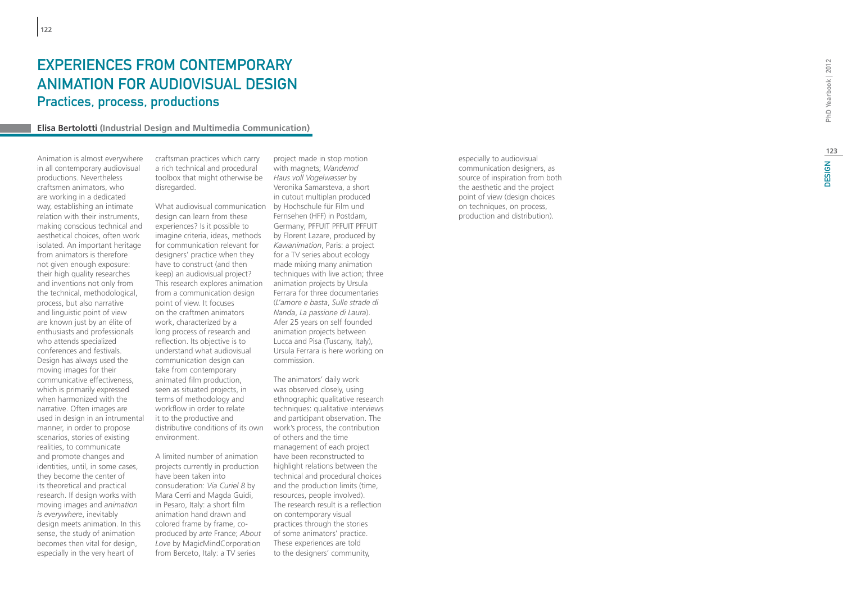# EXPERIENCES FROM CONTEMPORARY ANIMATION FOR AUDIOVISUAL DESIGN Practices, process, productions

# **Elisa Bertolotti (Industrial Design and Multimedia Communication)**

Animation is almost everywhere in all contemporary audiovisual productions. Nevertheless craftsmen animators, who are working in a dedicated way, establishing an intimate relation with their instruments, making conscious technical and aesthetical choices, often work isolated. An important heritage from animators is therefore not given enough exposure: their high quality researches and inventions not only from the technical, methodological, process, but also narrative and linguistic point of view are known just by an élite of enthusiasts and professionals who attends specialized conferences and festivals. Design has always used the moving images for their communicative effectiveness, which is primarily expressed when harmonized with the narrative. Often images are used in design in an intrumental manner, in order to propose scenarios, stories of existing realities, to communicate and promote changes and identities, until, in some cases, they become the center of its theoretical and practical research. If design works with moving images and *animation is everywhere*, inevitably design meets animation. In this sense, the study of animation becomes then vital for design, especially in the very heart of

craftsman practices which carry a rich technical and procedural toolbox that might otherwise be disregarded.

What audiovisual communication by Hochschule für Film und design can learn from these experiences? Is it possible to imagine criteria, ideas, methods for communication relevant for designers' practice when they have to construct (and then keep) an audiovisual project? This research explores animation from a communication design point of view. It focuses on the craftmen animators work, characterized by a long process of research and reflection. Its objective is to understand what audiovisual communication design can take from contemporary animated film production, seen as situated projects, in terms of methodology and workflow in order to relate it to the productive and distributive conditions of its own environment.

A limited number of animation projects currently in production have been taken into consuderation: *Via Curiel 8* by Mara Cerri and Magda Guidi, in Pesaro, Italy: a short film animation hand drawn and colored frame by frame, coproduced by *arte* France; *About Love* by MagicMindCorporation from Berceto, Italy: a TV series

project made in stop motion with magnets; *Wandernd Haus voll Vogelwasser* by Veronika Samarsteva, a short in cutout multiplan produced Fernsehen (HFF) in Postdam, Germany; PFFUIT PFFUIT PFFUIT by Florent Lazare, produced by *Kawanimation*, Paris: a project for a TV series about ecology made mixing many animation techniques with live action; three animation projects by Ursula<br>Ferrara for three documentaries Ferrara for three documentaries (*L'amore e basta*, *Sulle strade di Nanda*, *La passione di Laura*). Afer 25 years on self founded animation projects between Lucca and Pisa (Tuscany, Italy), Ursula Ferrara is here working on commission.

The animators' daily work was observed closely, using ethnographic qualitative research techniques: qualitative interviews and participant observation. The work's process, the contribution of others and the time management of each project have been reconstructed to highlight relations between the technical and procedural choices and the production limits (time, resources, people involved). The research result is a reflection on contemporary visual practices through the stories of some animators' practice. These experiences are told to the designers' community,

especially to audiovisual communication designers, as source of inspiration from both the aesthetic and the project point of view (design choices on techniques, on process, production and distribution).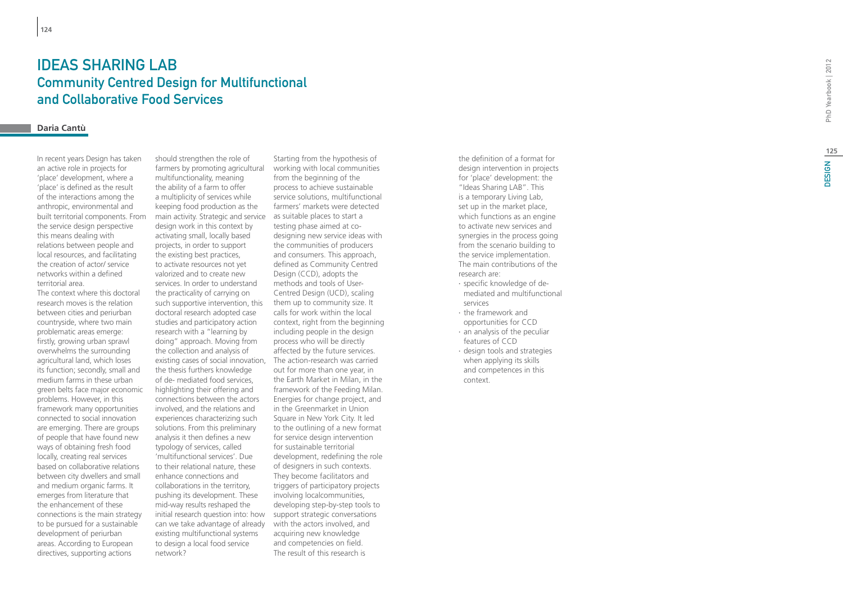# IDEAS SHARING LA Community Centred Design for Multifunctional and Collaborative Food Services

### **Daria Cantù**

In recent years Design has taken an active role in projects for 'place' development, where a 'place' is defined as the result of the interactions among the anthropic, environmental and built territorial components. From the service design perspective this means dealing with relations between people and local resources, and facilitating the creation of actor/ service networks within a defined territorial area.

The context where this doctoral research moves is the relation between cities and periurban countryside, where two main problematic areas emerge: firstly, growing urban sprawl overwhelms the surrounding agricultural land, which loses its function; secondly, small and medium farms in these urban green belts face major economic problems. However, in this framework many opportunities connected to social innovation are emerging. There are groups of people that have found new ways of obtaining fresh food locally, creating real services based on collaborative relations between city dwellers and small and medium organic farms. It emerges from literature that the enhancement of these connections is the main strategy to be pursued for a sustainable development of periurban areas. According to European directives, supporting actions

should strengthen the role of farmers by promoting agricultural multifunctionality, meaning the ability of a farm to offer a multiplicity of services while keeping food production as the main activity. Strategic and service design work in this context by activating small, locally based projects, in order to support the existing best practices, to activate resources not yet valorized and to create new services. In order to understand the practicality of carrying on such supportive intervention, this doctoral research adopted case studies and participatory action research with a "learning by doing" approach. Moving from the collection and analysis of existing cases of social innovation, the thesis furthers knowledge of de- mediated food services, highlighting their offering and connections between the actors involved, and the relations and experiences characterizing such solutions. From this preliminary analysis it then defines a new typology of services, called 'multifunctional services'. Due to their relational nature, these enhance connections and collaborations in the territory, pushing its development. These mid-way results reshaped the initial research question into: how can we take advantage of already existing multifunctional systems to design a local food service network?

Starting from the hypothesis of working with local communities from the beginning of the process to achieve sustainable service solutions, multifunctional farmers' markets were detected as suitable places to start a testing phase aimed at codesigning new service ideas with the communities of producers and consumers. This approach, defined as Community Centred Design (CCD), adopts the methods and tools of User-Centred Design (UCD), scaling them up to community size. It calls for work within the local context, right from the beginning including people in the design process who will be directly affected by the future services. The action-research was carried out for more than one year, in the Earth Market in Milan, in the framework of the Feeding Milan. Energies for change project, and in the Greenmarket in Union Square in New York City. It led to the outlining of a new format for service design intervention for sustainable territorial development, redefining the role of designers in such contexts. They become facilitators and triggers of participatory projects involving localcommunities, developing step-by-step tools to support strategic conversations with the actors involved, and acquiring new knowledge and competencies on field. The result of this research is

the definition of a format for design intervention in projects for 'place' development: the "Ideas Sharing LAB". This is a temporary Living Lab, set up in the market place, which functions as an engine to activate new services and synergies in the process going from the scenario building to the service implementation. The main contributions of the research are:

- ∙ specific knowledge of demediated and multifunctional services
- ∙ the framework and opportunities for CCD
- ∙ an analysis of the peculiar features of CCD
- ∙ design tools and strategies when applying its skills and competences in this context.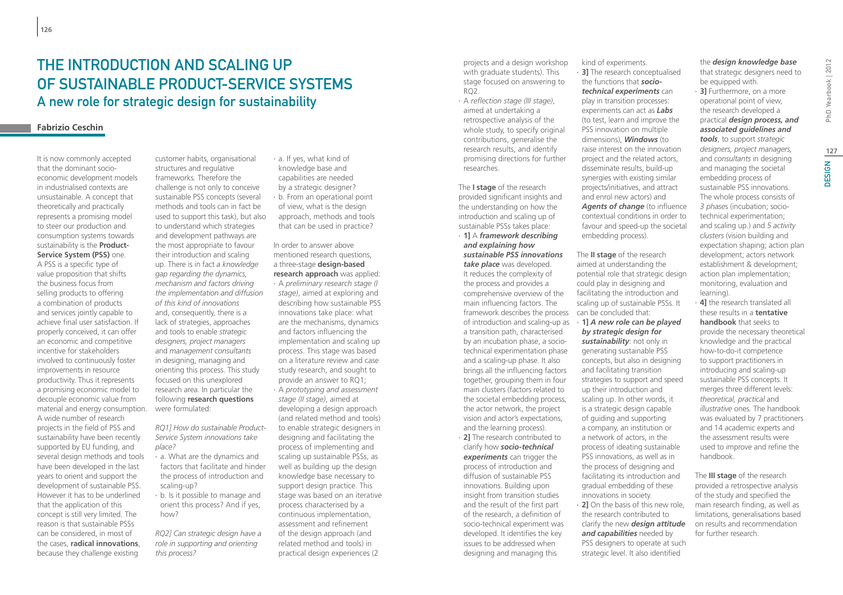# The introduction and scaling up of sustainable Product-Service Systems A new role for strategic design for sustainability

# **Fabrizio Ceschin**

It is now commonly accepted that the dominant socioeconomic development models in industrialised contexts are unsustainable. A concept that theoretically and practically represents a promising model to steer our production and consumption systems towards sustainability is the **Product-Service System (PSS)** one. A PSS is a specific type of value proposition that shifts the business focus from selling products to offering a combination of products and services jointly capable to achieve final user satisfaction. If properly conceived, it can offer an economic and competitive incentive for stakeholders involved to continuously foster improvements in resource productivity. Thus it represents a promising economic model to decouple economic value from material and energy consumption. were formulated: A wide number of research projects in the field of PSS and sustainability have been recently supported by EU funding, and several design methods and tools have been developed in the last years to orient and support the development of sustainable PSS. However it has to be underlined that the application of this concept is still very limited. The reason is that sustainable PSSs can be considered, in most of the cases, **radical innovations**, because they challenge existing

customer habits, organisational structures and regulative frameworks*.* Therefore the challenge is not only to conceive sustainable PSS concepts (several methods and tools can in fact be used to support this task), but also to understand which strategies and development pathways are the most appropriate to favour their introduction and scaling up. There is in fact *a knowledge gap regarding the dynamics, mechanism and factors driving the implementation and diffusion of this kind of innovations* and, consequently, there is a lack of strategies, approaches and tools to enable *strategic designers, project managers* and *management consultants* in designing, managing and orienting this process. This study focused on this unexplored research area. In particular the following **research questions**

*RQ1] How do sustainable Product-Service System innovations take place?*

- ∙ a. What are the dynamics and factors that facilitate and hinder the process of introduction and scaling-up?
- ∙ b. Is it possible to manage and orient this process? And if yes, how?

*RQ2] Can strategic design have a role in supporting and orienting this process?*

∙ a. If yes, what kind of knowledge base and capabilities are needed by a strategic designer? ∙ b. From an operational point of view, what is the design approach, methods and tools that can be used in practice?

In order to answer above mentioned research questions, a three-stage **design-based** 

- **research approach** was applied: ∙ A *preliminary research stage (I*
- *stage)*, aimed at exploring and describing how sustainable PSS innovations take place: what are the mechanisms, dynamics and factors influencing the implementation and scaling up process. This stage was based on a literature review and case study research, and sought to provide an answer to RQ1; ∙ A *prototyping and assessment*
- *stage (II stage)*, aimed at developing a design approach (and related method and tools) to enable strategic designers in designing and facilitating the process of implementing and scaling up sustainable PSSs, as well as building up the design knowledge base necessary to support design practice. This stage was based on an iterative process characterised by a continuous implementation, assessment and refinement of the design approach (and related method and tools) in practical design experiences (2

projects and a design workshop with graduate students). This stage focused on answering to RQ2.

∙ A *reflection stage (III stage)*, aimed at undertaking a retrospective analysis of the whole study, to specify original contributions, generalise the research results, and identify promising directions for further researches.

The **I stage** of the research provided significant insights and the understanding on how the introduction and scaling up of sustainable PSSs takes place:

∙ **1]** A *framework describing and explaining how sustainable PSS innovations take place* was developed. It reduces the complexity of the process and provides a comprehensive overview of the main influencing factors. The framework describes the process can be concluded that: of introduction and scaling-up as ∙ **1]** *A new role can be played*  a transition path, characterised by an incubation phase, a sociotechnical experimentation phase and a scaling-up phase. It also brings all the influencing factors together, grouping them in four main clusters (factors related to the societal embedding process, the actor network, the project vision and actor's expectations, and the learning process).

∙ **2]** The research contributed to clarify how *socio-technical experiments* can trigger the process of introduction and diffusion of sustainable PSS innovations. Building upon insight from transition studies and the result of the first part of the research, a definition of socio-technical experiment was developed. It identifies the key issues to be addressed when designing and managing this

kind of experiments. ∙ **3]** The research conceptualised the functions that *sociotechnical experiments* can play in transition processes: experiments can act as *Labs* 

(to test, learn and improve the PSS innovation on multiple dimensions), *Windows* (to raise interest on the innovation project and the related actors, disseminate results, build-up synergies with existing similar projects/initiatives, and attract and enrol new actors) and Agents of change (to influence contextual conditions in order to favour and speed-up the societal embedding process).

The **II stage** of the research aimed at understanding the potential role that strategic design could play in designing and facilitating the introduction and scaling up of sustainable PSSs. It

- *by strategic design for sustainability*: not only in generating sustainable PSS concepts, but also in designing and facilitating transition strategies to support and speed up their introduction and scaling up. In other words, it is a strategic design capable of guiding and supporting a company, an institution or a network of actors, in the process of ideating sustainable PSS innovations, as well as in the process of designing and facilitating its introduction and gradual embedding of these innovations in society. ∙ **2]** On the basis of this new role, the research contributed to
- clarify the new *design attitude and capabilities* needed by PSS designers to operate at such strategic level. It also identified

# the *design knowledge base* that strategic designers need to

be equipped with. ∙ **3]** Furthermore, on a more

operational point of view, the research developed a practical *design process, and associated guidelines and*

*tools*, to support *strategic designers, project managers,*  and *consultants* in designing and managing the societal embedding process of sustainable PSS innovations. The whole process consists of *3 phase*s (incubation; sociotechnical experimentation; and scaling up.) and *5 activity clusters* (vision building and expectation shaping; action plan development; actors network establishment & development; action plan implementation; monitoring, evaluation and learning).

∙ **4]** the research translated all these results in a **tentative handbook** that seeks to provide the necessary theoretical knowledge and the practical how-to-do-it competence to support practitioners in introducing and scaling-up sustainable PSS concepts. It merges three different levels: *theoretical, practical* and *illustrative* ones*.* The handbook was evaluated by 7 practitioners and 14 academic experts and the assessment results were used to improve and refine the handbook.

The **III stage** of the research provided a retrospective analysis of the study and specified the main research finding, as well as limitations, generalisations based on results and recommendation for further research.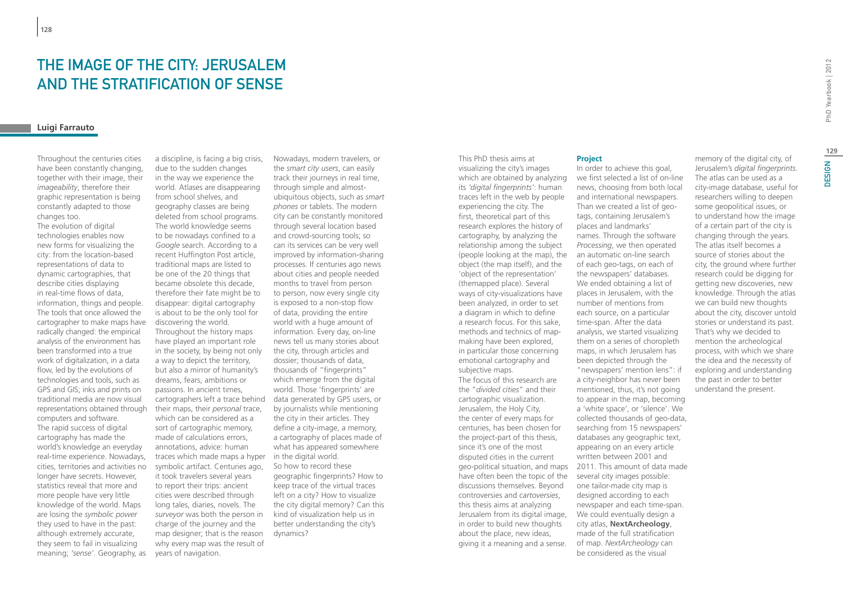# THE IMAGE OF THE CITY. JERUSALEM and the stratification of sense

### **Luigi Farrauto**

Throughout the centuries cities have been constantly changing, together with their image, their *imageability*, therefore their graphic representation is being constantly adapted to those changes too.

The evolution of digital technologies enables now new forms for visualizing the city: from the location-based representations of data to dynamic cartographies, that describe cities displaying in real-time flows of data, information, things and people. The tools that once allowed the cartographer to make maps have radically changed: the empirical analysis of the environment has been transformed into a true work of digitalization, in a data flow, led by the evolutions of technologies and tools, such as GPS and GIS; inks and prints on traditional media are now visual representations obtained through computers and software. The rapid success of digital cartography has made the world's knowledge an everyday real-time experience. Nowadays, cities, territories and activities no longer have secrets. However, statistics reveal that more and more people have very little knowledge of the world. Maps are losing the *symbolic power* they used to have in the past: although extremely accurate, they seem to fail in visualizing meaning; *'sense'*. Geography, as

a discipline, is facing a big crisis, due to the sudden changes in the way we experience the world. Atlases are disappearing from school shelves, and geography classes are being deleted from school programs. The world knowledge seems to be nowadays confined to a *Google* search. According to a recent Huffington Post article, traditional maps are listed to be one of the 20 things that became obsolete this decade, therefore their fate might be to disappear: digital cartography is about to be the only tool for discovering the world. Throughout the history maps have played an important role in the society, by being not only a way to depict the territory, but also a mirror of humanity's dreams, fears, ambitions or passions. In ancient times, cartographers left a trace behind their maps, their *personal* trace, which can be considered as a sort of cartographic memory, made of calculations errors, annotations, advice: human traces which made maps a hyper in the digital world. symbolic artifact. Centuries ago, it took travelers several years to report their trips: ancient cities were described through long tales, diaries, novels. The *surveyor* was both the person in charge of the journey and the map designer; that is the reason why every map was the result of years of navigation.

Nowadays, modern travelers, or the *smart city users*, can easily track their journeys in real time, through simple and almostubiquitous objects, such as *smart phones* or tablets. The modern city can be constantly monitored through several location based and crowd-sourcing tools; so can its services can be very well improved by information-sharing processes. If centuries ago news about cities and people needed months to travel from person to person, now every single city is exposed to a non-stop flow of data, providing the entire world with a huge amount of information. Every day, on-line news tell us many stories about the city, through articles and dossier; thousands of data, thousands of "fingerprints" which emerge from the digital world. Those 'fingerprints' are data generated by GPS users, or by journalists while mentioning the city in their articles. They define a city-image, a memory, a cartography of places made of what has appeared somewhere So how to record these geographic fingerprints? How to keep trace of the virtual traces left on a city? How to visualize the city digital memory? Can this kind of visualization help us in better understanding the city's dynamics?

visualizing the city's images which are obtained by analyzing its *'digital fingerprints'*: human traces left in the web by people experiencing the city. The first, theoretical part of this research explores the history of cartography, by analyzing the relationship among the subject (people looking at the map), the object (the map itself), and the 'object of the representation' (themapped place). Several ways of city-visualizations have been analyzed, in order to set a diagram in which to define a research focus. For this sake, methods and technics of mapmaking have been explored, in particular those concerning emotional cartography and subjective maps. The focus of this research are the "*divided cities*" and their cartographic visualization. Jerusalem, the Holy City, the center of every maps for centuries, has been chosen for the project-part of this thesis, since it's one of the most disputed cities in the current have often been the topic of the discussions themselves. Beyond controversies and *cartoversies*, this thesis aims at analyzing Jerusalem from its digital image, in order to build new thoughts about the place, new ideas, giving it a meaning and a sense.

This PhD thesis aims at

### **Project**

geo-political situation, and maps 2011. This amount of data made In order to achieve this goal, we first selected a list of on-line news, choosing from both local and international newspapers. Than we created a list of geotags, containing Jerusalem's places and landmarks' names. Through the software *Processing*, we then operated an automatic on-line search of each geo-tags, on each of the newspapers' databases. We ended obtaining a list of places in Jerusalem, with the number of mentions from each source, on a particular time-span. After the data analysis, we started visualizing them on a series of choropleth maps, in which Jerusalem has been depicted through the "newspapers' mention lens": if a city-neighbor has never been mentioned, thus, it's not going to appear in the map, becoming a 'white space', or 'silence'. We collected thousands of geo-data, searching from 15 newspapers' databases any geographic text, appearing on an every article written between 2001 and several city images possible: one tailor-made city map is designed according to each newspaper and each time-span. We could eventually design a city atlas, **NextArcheology**, made of the full stratification of map. *NextArcheology* can be considered as the visual

memory of the digital city, of Jerusalem's *digital fingerprints*. The atlas can be used as a city-image database, useful for researchers willing to deepen some geopolitical issues, or to understand how the image of a certain part of the city is changing through the years. The atlas itself becomes a source of stories about the city, the ground where further research could be digging for getting new discoveries, new knowledge. Through the atlas we can build new thoughts about the city, discover untold stories or understand its past. That's why we decided to mention the archeological process, with which we share the idea and the necessity of exploring and understanding the past in order to better understand the present.

**DESIGN**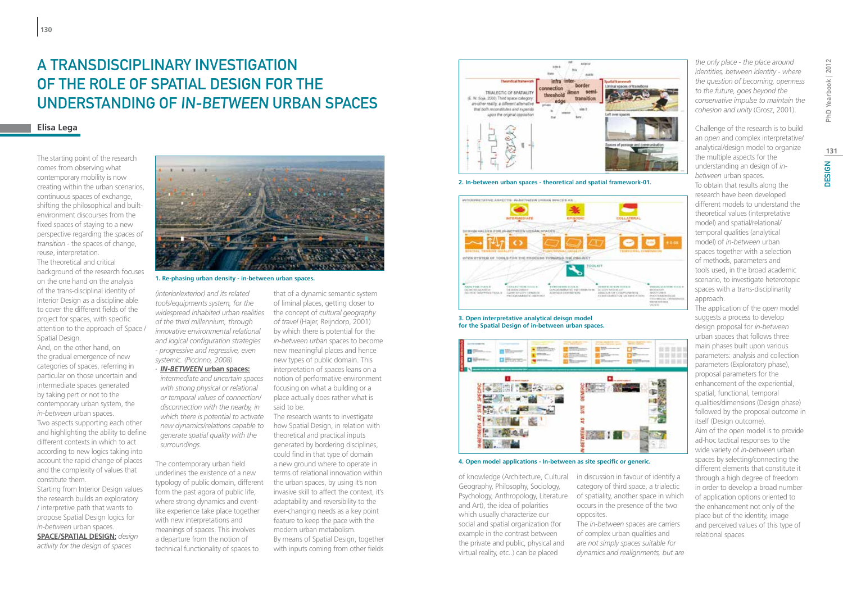# A TRANSDISCIPLINARY INVESTIGATION OF THE ROLE OF SPATIAL DESIGN FOR THE UNDERSTANDING OF IN-BETWEEN URBAN SPACES

# **Elisa Lega**

The starting point of the research comes from observing what contemporary mobility is now creating within the urban scenarios, continuous spaces of exchange, shifting the philosophical and builtenvironment discourses from the fixed spaces of staying to a new perspective regarding the *spaces of transition* - the spaces of change, reuse, interpretation.

The theoretical and critical background of the research focuses on the one hand on the analysis of the trans-disciplinal identity of Interior Design as a discipline able to cover the different fields of the project for spaces, with specific attention to the approach of Space / Spatial Design.

And, on the other hand, on the gradual emergence of new categories of spaces, referring in particular on those uncertain and intermediate spaces generated by taking pert or not to the contemporary urban system, the *in-between* urban spaces. Two aspects supporting each other and highlighting the ability to define different contexts in which to act according to new logics taking into account the rapid change of places and the complexity of values that constitute them.

Starting from Interior Design values the research builds an exploratory / interpretive path that wants to propose Spatial Design logics for *in-between* urban spaces. **SPACE/SPATIAL DESIGN:** *design* 

*activity for the design of spaces* 



**1. Re-phasing urban density - in-between urban spaces.**

*(interior/exterior) and its related tools/equipments system, for the widespread inhabited urban realities of the third millennium, through innovative environmental relational and logical configuration strategies - progressive and regressive, even systemic. (Piccinno, 2008)*

∙ *IN-BETWEEN* **urban spaces:** *intermediate and uncertain spaces with strong physical or relational or temporal values of connection/ disconnection with the nearby, in which there is potential to activate new dynamics/relations capable to generate spatial quality with the surroundings.*

The contemporary urban field underlines the existence of a new typology of public domain, different form the past agora of public life, where strong dynamics and eventlike experience take place together with new interpretations and meanings of spaces. This involves a departure from the notion of technical functionality of spaces to

that of a dynamic semantic system of liminal places, getting closer to the concept of *cultural geography of travel* (Hajer, Reijndorp, 2001) by which there is potential for the *in-between urban* spaces to become new meaningful places and hence new types of public domain. This interpretation of spaces leans on a notion of performative environment focusing on what a building or a place actually does rather what is said to be.

The research wants to investigate how Spatial Design, in relation with theoretical and practical inputs generated by bordering disciplines, could find in that type of domain a new ground where to operate in terms of relational innovation within the urban spaces, by using it's non invasive skill to affect the context, it's adaptability and reversibility to the ever-changing needs as a key point feature to keep the pace with the modern urban metabolism. By means of Spatial Design, together with inputs coming from other fields







**3. Open interpretative analytical deisgn model for the Spatial Design of in-between urban spaces.**



**4. Open model applications - In-between as site specific or generic.**

of knowledge (Architecture, Cultural in discussion in favour of identify a Geography, Philosophy, Sociology, and Art), the idea of polarities which usually characterize our social and spatial organization (for example in the contrast between the private and public, physical and virtual reality, etc..) can be placed

Psychology, Anthropology, Literature of spatiality, another space in which category of third space, a trialectic occurs in the presence of the two opposites.

> The *in-between* spaces are carriers of complex urban qualities and are *not simply spaces suitable for dynamics and realignments, but are*

*the only place - the place around identities, between identity - where the question of becoming, openness to the future, goes beyond the conservative impulse to maintain the cohesion and unity* (Grosz, 2001).

Challenge of the research is to build an *open* and complex interpretative/ analytical/design model to organize the multiple aspects for the understanding an design of *inbetween* urban spaces. To obtain that results along the research have been developed different models to understand the theoretical values (interpretative model) and spatial/relational/ temporal qualities (analytical model) of *in-between* urban spaces together with a selection of methods, parameters and tools used, in the broad academic scenario, to investigate heterotopic spaces with a trans-disciplinarity approach.

The application of the *open* model suggests a process to develop design proposal for *in-between* urban spaces that follows three main phases built upon various parameters: analysis and collection parameters (Exploratory phase), proposal parameters for the enhancement of the experiential, spatial, functional, temporal qualities/dimensions (Design phase) followed by the proposal outcome in itself (Design outcome). Aim of the open model is to provide ad-hoc tactical responses to the wide variety of *in-between* urban spaces by selecting/connecting the different elements that constitute it through a high degree of freedom in order to develop a broad number of application options oriented to the enhancement not only of the place but of the identity, image and perceived values of this type of relational spaces.

**131**

**DESIGN**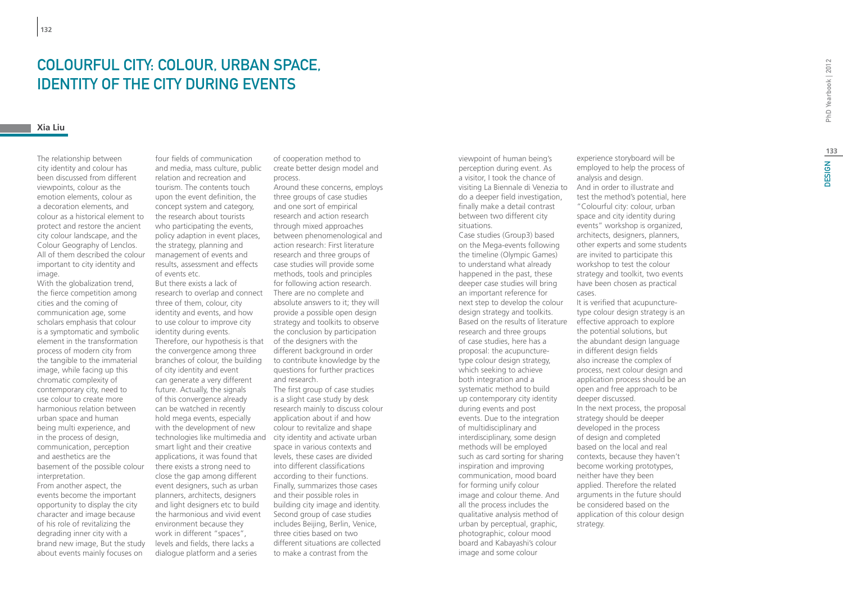# Colourful City: Colour, urban space, identity of the city during events

### **Xia Liu**

The relationship between city identity and colour has been discussed from different viewpoints, colour as the emotion elements, colour as a decoration elements, and colour as a historical element to protect and restore the ancient city colour landscape, and the Colour Geography of Lenclos. All of them described the colour important to city identity and image.

With the globalization trend, the fierce competition among cities and the coming of communication age, some scholars emphasis that colour is a symptomatic and symbolic element in the transformation process of modern city from the tangible to the immaterial image, while facing up this chromatic complexity of contemporary city, need to use colour to create more harmonious relation between urban space and human being multi experience, and in the process of design, communication, perception and aesthetics are the basement of the possible colour interpretation. From another aspect, the

events become the important opportunity to display the city character and image because of his role of revitalizing the degrading inner city with a brand new image, But the study about events mainly focuses on

four fields of communication and media, mass culture, public relation and recreation and tourism. The contents touch upon the event definition, the concept system and category, the research about tourists who participating the events, policy adaption in event places, the strategy, planning and management of events and results, assessment and effects of events etc.

But there exists a lack of research to overlap and connect three of them, colour, city identity and events, and how to use colour to improve city identity during events. Therefore, our hypothesis is that the convergence among three branches of colour, the building of city identity and event can generate a very different future. Actually, the signals of this convergence already can be watched in recently hold mega events, especially with the development of new technologies like multimedia and smart light and their creative applications, it was found that there exists a strong need to close the gap among different event designers, such as urban planners, architects, designers and light designers etc to build the harmonious and vivid event environment because they work in different "spaces", levels and fields, there lacks a dialogue platform and a series

of cooperation method to create better design model and process.

Around these concerns, employs three groups of case studies and one sort of empirical research and action research through mixed approaches between phenomenological and action research: First literature research and three groups of case studies will provide some methods, tools and principles for following action research. There are no complete and absolute answers to it; they will provide a possible open design strategy and toolkits to observe the conclusion by participation of the designers with the different background in order to contribute knowledge by the questions for further practices and research.

The first group of case studies is a slight case study by desk research mainly to discuss colour application about if and how colour to revitalize and shape city identity and activate urban space in various contexts and levels, these cases are divided into different classifications according to their functions. Finally, summarizes those cases and their possible roles in building city image and identity. Second group of case studies includes Beijing, Berlin, Venice, three cities based on two different situations are collected to make a contrast from the

viewpoint of human being's perception during event. As a visitor, I took the chance of visiting La Biennale di Venezia to And in order to illustrate and do a deeper field investigation, finally make a detail contrast between two different city situations.

Case studies (Group3) based on the Mega-events following the timeline (Olympic Games) to understand what already happened in the past, these deeper case studies will bring an important reference for next step to develop the colour design strategy and toolkits. Based on the results of literature effective approach to explore research and three groups of case studies, here has a proposal: the acupuncturetype colour design strategy, which seeking to achieve both integration and a systematic method to build up contemporary city identity during events and post events. Due to the integration of multidisciplinary and interdisciplinary, some design methods will be employed such as card sorting for sharing inspiration and improving communication, mood board for forming unify colour image and colour theme. And all the process includes the qualitative analysis method of urban by perceptual, graphic, photographic, colour mood board and Kabayashi's colour image and some colour

experience storyboard will be employed to help the process of analysis and design. test the method's potential, here "Colourful city: colour, urban space and city identity during events" workshop is organized, architects, designers, planners, other experts and some students are invited to participate this workshop to test the colour strategy and toolkit, two events have been chosen as practical cases.

It is verified that acupuncturetype colour design strategy is an the potential solutions, but the abundant design language in different design fields also increase the complex of process, next colour design and application process should be an open and free approach to be deeper discussed. In the next process, the proposal strategy should be deeper developed in the process of design and completed based on the local and real contexts, because they haven't become working prototypes, neither have they been applied. Therefore the related arguments in the future should be considered based on the application of this colour design strategy.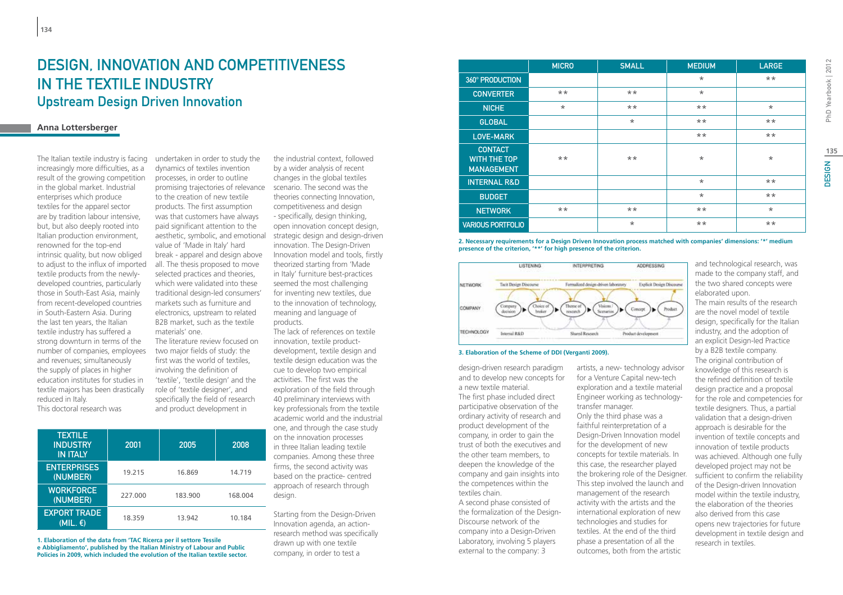# DESIGN, INNOVATION AND COMPETITIVENESS IN THE TEXTILE INDUSTRY Upstream Design Driven Innovation

# **Anna Lottersberger**

The Italian textile industry is facing increasingly more difficulties, as a result of the growing competition in the global market. Industrial enterprises which produce textiles for the apparel sector are by tradition labour intensive, but, but also deeply rooted into Italian production environment, renowned for the top-end intrinsic quality, but now obliged to adjust to the influx of imported textile products from the newlydeveloped countries, particularly those in South-East Asia, mainly from recent-developed countries in South-Eastern Asia. During the last ten years, the Italian textile industry has suffered a strong downturn in terms of the number of companies, employees and revenues; simultaneously the supply of places in higher education institutes for studies in textile majors has been drastically reduced in Italy. This doctoral research was

undertaken in order to study the dynamics of textiles invention processes, in order to outline promising trajectories of relevance scenario. The second was the to the creation of new textile products. The first assumption was that customers have always paid significant attention to the value of 'Made in Italy' hard break - apparel and design above all. The thesis proposed to move selected practices and theories, which were validated into these traditional design-led consumers' markets such as furniture and electronics, upstream to related B2B market, such as the textile materials' one. The literature review focused on two major fields of study: the

first was the world of textiles, involving the definition of 'textile', 'textile design' and the role of 'textile designer', and specifically the field of research and product development in

| TEXTILE<br><b>INDUSTRY</b><br><b>IN ITALY</b> | 2001    | 2005    | 2008    |
|-----------------------------------------------|---------|---------|---------|
| <b>ENTERPRISES</b><br>(NUMBER)                | 19.215  | 16.869  | 14.719  |
| <b>WORKFORCE</b><br>(NUMBER)                  | 227.000 | 183.900 | 168.004 |
| <b>EXPORT TRADE</b><br>$(MIL. \epsilon)$      | 18.359  | 13.942  | 10.184  |

**1. Elaboration of the data from 'TAC Ricerca per il settore Tessile e Abbigliamento', published by the Italian Ministry of Labour and Public Policies in 2009, which included the evolution of the Italian textile sector.**

aesthetic, symbolic, and emotional strategic design and design-driven the industrial context, followed by a wider analysis of recent changes in the global textiles theories connecting Innovation, competitiveness and design - specifically, design thinking, open innovation concept design, innovation. The Design-Driven Innovation model and tools, firstly theorized starting from 'Made in Italy' furniture best-practices seemed the most challenging for inventing new textiles, due to the innovation of technology, meaning and language of products.

> The lack of references on textile innovation, textile productdevelopment, textile design and textile design education was the cue to develop two empirical activities. The first was the exploration of the field through 40 preliminary interviews with key professionals from the textile academic world and the industrial one, and through the case study on the innovation processes in three Italian leading textile companies. Among these three firms, the second activity was based on the practice- centred approach of research through design.

Starting from the Design-Driven Innovation agenda, an actionresearch method was specifically drawn up with one textile company, in order to test a

|                                                            | <b>MICRO</b> | <b>SMALL</b> | <b>MEDIUM</b> | <b>LARGE</b> |
|------------------------------------------------------------|--------------|--------------|---------------|--------------|
| 360° PRODUCTION                                            |              |              | $\star$       | $***$        |
| <b>CONVERTER</b>                                           | $***$        | $***$        | $\star$       |              |
| <b>NICHE</b>                                               | $\star$      | $***$        | $***$         | $\star$      |
| <b>GLOBAL</b>                                              |              | $\star$      | $***$         | $***$        |
| <b>LOVE-MARK</b>                                           |              |              | $***$         | $***$        |
| <b>CONTACT</b><br><b>WITH THE TOP</b><br><b>MANAGEMENT</b> | $***$        | $***$        | $\star$       | $\star$      |
| <b>INTERNAL R&amp;D</b>                                    |              |              | $\star$       | $***$        |
| <b>BUDGET</b>                                              |              |              | $\star$       | $***$        |
| <b>NETWORK</b>                                             | $***$        | $***$        | $***$         | $\star$      |
| <b>VARIOUS PORTFOLIO</b>                                   |              | $\star$      | $***$         | $***$        |

**2. Necessary requirements for a Design Driven Innovation process matched with companies' dimensions: '\*' medium presence of the criterion, '\*\*' for high presence of the criterion.**



### **3. Elaboration of the Scheme of DDI (Verganti 2009).**

design-driven research paradigm and to develop new concepts for a new textile material. The first phase included direct participative observation of the ordinary activity of research and product development of the company, in order to gain the trust of both the executives and the other team members, to deepen the knowledge of the company and gain insights into the competences within the textiles chain.

A second phase consisted of the formalization of the Design-Discourse network of the company into a Design-Driven Laboratory, involving 5 players external to the company: 3

artists, a new- technology advisor for a Venture Capital new-tech exploration and a textile material Engineer working as technologytransfer manager. Only the third phase was a faithful reinterpretation of a Design-Driven Innovation model for the development of new concepts for textile materials. In this case, the researcher played the brokering role of the Designer. This step involved the launch and management of the research activity with the artists and the international exploration of new technologies and studies for textiles. At the end of the third phase a presentation of all the outcomes, both from the artistic

and technological research, was made to the company staff, and the two shared concepts were elaborated upon.

The main results of the research are the novel model of textile design, specifically for the Italian industry, and the adoption of an explicit Design-led Practice by a B2B textile company. The original contribution of knowledge of this research is the refined definition of textile design practice and a proposal for the role and competencies for textile designers. Thus, a partial validation that a design-driven approach is desirable for the invention of textile concepts and innovation of textile products was achieved. Although one fully developed project may not be sufficient to confirm the reliability of the Design-driven Innovation model within the textile industry, the elaboration of the theories also derived from this case opens new trajectories for future development in textile design and research in textiles.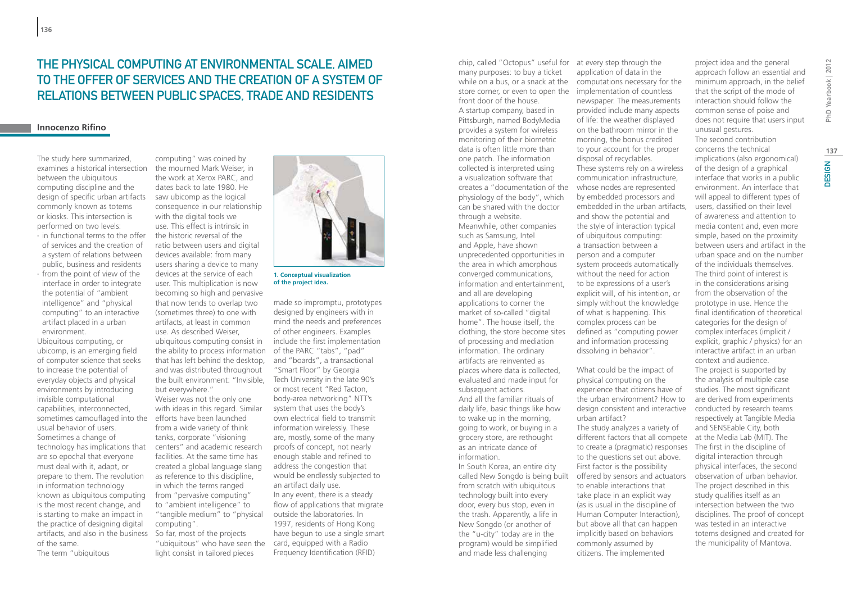# THE PHYSICAL COMPUTING AT ENVIRONMENTAL SCALE, AIMED TO THE OFFER OF SERVICES AND THE CREATION OF A SYSTEM OF RELATIONS BETWEEN PUBLIC SPACES, TRADE AND RESIDENTS

### **Innocenzo Rifino**

The study here summarized, examines a historical intersection between the ubiquitous computing discipline and the design of specific urban artifacts commonly known as totems or kiosks. This intersection is performed on two levels:

- ∙ in functional terms to the offer of services and the creation of a system of relations between public, business and residents
- ∙ from the point of view of the interface in order to integrate the potential of "ambient intelligence" and "physical computing" to an interactive artifact placed in a urban environment.

Ubiquitous computing, or ubicomp, is an emerging field of computer science that seeks to increase the potential of everyday objects and physical environments by introducing invisible computational capabilities, interconnected, sometimes camouflaged into the efforts have been launched usual behavior of users. Sometimes a change of technology has implications that are so epochal that everyone must deal with it, adapt, or prepare to them. The revolution in information technology known as ubiquitous computing is the most recent change, and is starting to make an impact in the practice of designing digital artifacts, and also in the business of the same.

The term "ubiquitous

computing" was coined by the mourned Mark Weiser, in the work at Xerox PARC, and dates back to late 1980. He saw ubicomp as the logical consequence in our relationship with the digital tools we use. This effect is intrinsic in the historic reversal of the ratio between users and digital devices available: from many users sharing a device to many devices at the service of each user. This multiplication is now becoming so high and pervasive that now tends to overlap two (sometimes three) to one with artifacts, at least in common use. As described Weiser, ubiquitous computing consist in the ability to process information of the PARC "tabs", "pad" that has left behind the desktop, and was distributed throughout the built environment: "Invisible, Tech University in the late 90's but everywhere." Weiser was not the only one with ideas in this regard. Similar

from a wide variety of think tanks, corporate "visioning centers" and academic research facilities. At the same time has created a global language slang as reference to this discipline, in which the terms ranged from "pervasive computing" to "ambient intelligence" to "tangible medium" to "physical computing".

So far, most of the projects "ubiquitous" who have seen the card, equipped with a Radio light consist in tailored pieces



**1. Conceptual visualization of the project idea.**

made so impromptu, prototypes designed by engineers with in mind the needs and preferences of other engineers. Examples include the first implementation and "boards", a transactional "Smart Floor" by Georgia or most recent "Red Tacton, body-area networking" NTT's system that uses the body's own electrical field to transmit information wirelessly. These are, mostly, some of the many proofs of concept, not nearly enough stable and refined to address the congestion that would be endlessly subjected to an artifact daily use. In any event, there is a steady flow of applications that migrate outside the laboratories. In 1997, residents of Hong Kong have begun to use a single smart Frequency Identification (RFID)

many purposes: to buy a ticket while on a bus, or a snack at the store corner, or even to open the implementation of countless front door of the house. A startup company, based in Pittsburgh, named BodyMedia provides a system for wireless monitoring of their biometric data is often little more than one patch. The information collected is interpreted using a visualization software that creates a "documentation of the whose nodes are represented physiology of the body", which can be shared with the doctor through a website. Meanwhile, other companies such as Samsung, Intel and Apple, have shown unprecedented opportunities in the area in which amorphous converged communications, information and entertainment, and all are developing applications to corner the market of so-called "digital home". The house itself, the clothing, the store become sites of processing and mediation information. The ordinary artifacts are reinvented as places where data is collected, evaluated and made input for subsequent actions. And all the familiar rituals of daily life, basic things like how to wake up in the morning, going to work, or buying in a grocery store, are rethought as an intricate dance of information. In South Korea, an entire city

called New Songdo is being built from scratch with ubiquitous technology built into every door, every bus stop, even in the trash. Apparently, a life in New Songdo (or another of the "u-city" today are in the program) would be simplified and made less challenging

chip, called "Octopus" useful for at every step through the application of data in the computations necessary for the newspaper. The measurements provided include many aspects of life: the weather displayed on the bathroom mirror in the morning, the bonus credited to your account for the proper disposal of recyclables. These systems rely on a wireless communication infrastructure, by embedded processors and embedded in the urban artifacts, and show the potential and the style of interaction typical of ubiquitous computing: a transaction between a person and a computer system proceeds automatically without the need for action to be expressions of a user's explicit will, of his intention, or simply without the knowledge of what is happening. This complex process can be defined as "computing power and information processing dissolving in behavior".

> What could be the impact of physical computing on the experience that citizens have of the urban environment? How to design consistent and interactive urban artifact? The study analyzes a variety of different factors that all compete to create a (pragmatic) responses to the questions set out above. First factor is the possibility offered by sensors and actuators to enable interactions that take place in an explicit way (as is usual in the discipline of Human Computer Interaction), but above all that can happen implicitly based on behaviors commonly assumed by citizens. The implemented

project idea and the general approach follow an essential and minimum approach, in the belief that the script of the mode of interaction should follow the common sense of poise and does not require that users input unusual gestures. The second contribution concerns the technical implications (also ergonomical) of the design of a graphical interface that works in a public environment. An interface that will appeal to different types of users, classified on their level of awareness and attention to media content and, even more simple, based on the proximity between users and artifact in the urban space and on the number of the individuals themselves. The third point of interest is in the considerations arising from the observation of the prototype in use. Hence the final identification of theoretical categories for the design of complex interfaces (implicit / explicit, graphic / physics) for an interactive artifact in an urban context and audience. The project is supported by the analysis of multiple case studies. The most significant

are derived from experiments conducted by research teams respectively at Tangible Media and SENSEable City, both at the Media Lab (MIT). The The first in the discipline of digital interaction through physical interfaces, the second observation of urban behavior. The project described in this study qualifies itself as an intersection between the two disciplines. The proof of concept was tested in an interactive totems designed and created for the municipality of Mantova.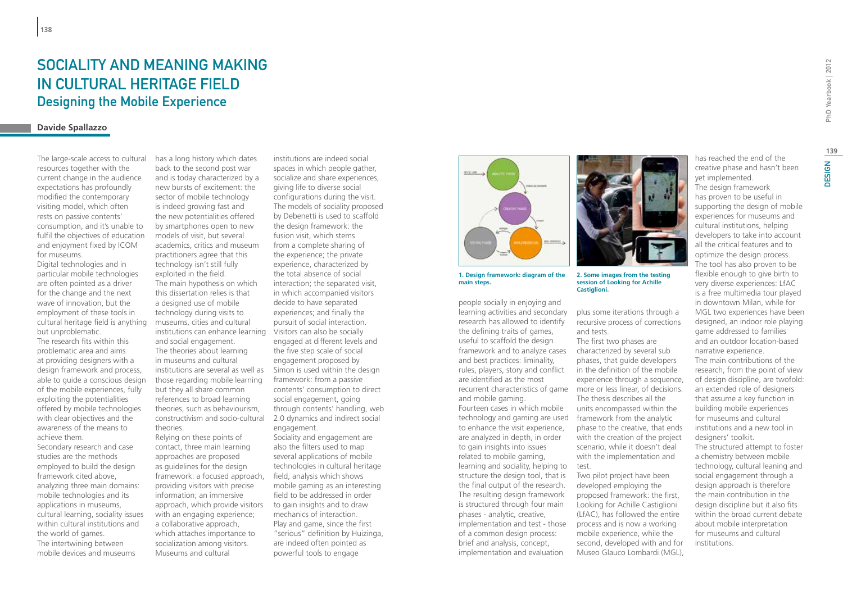# Sociality and Meaning Making in Cultural Heritage Field Designing the Mobile Experience

# **Davide Spallazzo**

The large-scale access to cultural resources together with the current change in the audience expectations has profoundly modified the contemporary visiting model, which often rests on passive contents' consumption, and it's unable to fulfil the objectives of education and enjoyment fixed by ICOM for museums.

Digital technologies and in particular mobile technologies are often pointed as a driver for the change and the next wave of innovation, but the employment of these tools in cultural heritage field is anything but unproblematic. The research fits within this problematic area and aims at providing designers with a design framework and process, able to guide a conscious design of the mobile experiences, fully exploiting the potentialities offered by mobile technologies with clear objectives and the awareness of the means to

achieve them. Secondary research and case studies are the methods employed to build the design framework cited above, analyzing three main domains: mobile technologies and its applications in museums, cultural learning, sociality issues within cultural institutions and the world of games. The intertwining between mobile devices and museums

has a long history which dates back to the second post war and is today characterized by a new bursts of excitement: the sector of mobile technology is indeed growing fast and the new potentialities offered by smartphones open to new models of visit, but several academics, critics and museum practitioners agree that this technology isn't still fully exploited in the field. The main hypothesis on which this dissertation relies is that a designed use of mobile technology during visits to museums, cities and cultural institutions can enhance learning and social engagement. The theories about learning in museums and cultural those regarding mobile learning but they all share common references to broad learning theories, such as behaviourism, constructivism and socio-cultural theories. Relying on these points of contact, three main learning approaches are proposed

as guidelines for the design framework: a focused approach, providing visitors with precise information; an immersive approach, which provide visitors with an engaging experience; a collaborative approach, which attaches importance to socialization among visitors. Museums and cultural

institutions are several as well as Simon is used within the design institutions are indeed social spaces in which people gather, socialize and share experiences, giving life to diverse social configurations during the visit. The models of sociality proposed by Debenetti is used to scaffold the design framework: the fusion visit, which stems from a complete sharing of the experience; the private experience, characterized by the total absence of social interaction; the separated visit, in which accompanied visitors decide to have separated experiences; and finally the pursuit of social interaction. Visitors can also be socially engaged at different levels and the five step scale of social engagement proposed by framework: from a passive contents' consumption to direct social engagement, going through contents' handling, web 2.0 dynamics and indirect social engagement. Sociality and engagement are also the filters used to map several applications of mobile technologies in cultural heritage field, analysis which shows mobile gaming as an interesting

field to be addressed in order to gain insights and to draw mechanics of interaction. Play and game, since the first "serious" definition by Huizinga, are indeed often pointed as powerful tools to engage



**1. Design framework: diagram of the main steps.**

people socially in enjoying and learning activities and secondary research has allowed to identify the defining traits of games, useful to scaffold the design framework and to analyze cases and best practices: liminality, rules, players, story and conflict are identified as the most recurrent characteristics of game and mobile gaming. Fourteen cases in which mobile technology and gaming are used framework from the analytic to enhance the visit experience, are analyzed in depth, in order to gain insights into issues related to mobile gaming, learning and sociality, helping to test. structure the design tool, that is the final output of the research. The resulting design framework is structured through four main phases - analytic, creative, implementation and test - those of a common design process: brief and analysis, concept, implementation and evaluation



### **2. Some images from the testing session of Looking for Achille Castiglioni.**

plus some iterations through a recursive process of corrections and tests.

The first two phases are characterized by several sub phases, that guide developers in the definition of the mobile experience through a sequence. more or less linear, of decisions. The thesis describes all the units encompassed within the phase to the creative, that ends with the creation of the project scenario, while it doesn't deal with the implementation and

Two pilot project have been developed employing the proposed framework: the first, Looking for Achille Castiglioni (LfAC), has followed the entire process and is now a working mobile experience, while the second, developed with and for Museo Glauco Lombardi (MGL),

has reached the end of the creative phase and hasn't been yet implemented. The design framework has proven to be useful in supporting the design of mobile experiences for museums and cultural institutions, helping developers to take into account all the critical features and to optimize the design process. The tool has also proven to be flexible enough to give birth to very diverse experiences: LfAC is a free multimedia tour played in downtown Milan, while for MGL two experiences have been designed, an indoor role playing game addressed to families and an outdoor location-based narrative experience. The main contributions of the research, from the point of view of design discipline, are twofold: an extended role of designers that assume a key function in building mobile experiences for museums and cultural institutions and a new tool in designers' toolkit. The structured attempt to foster a chemistry between mobile technology, cultural leaning and social engagement through a design approach is therefore the main contribution in the

design discipline but it also fits within the broad current debate about mobile interpretation for museums and cultural

institutions.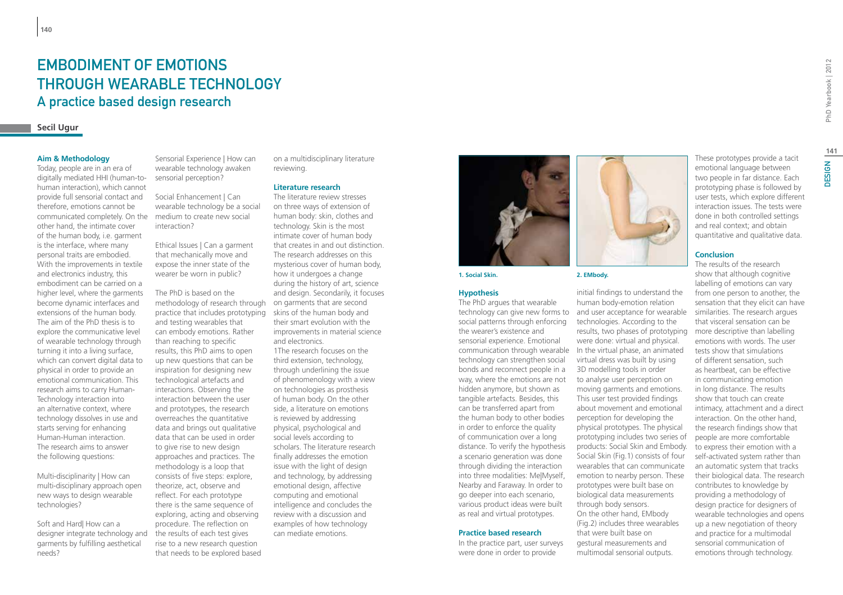# **EMBODIMENT OF EMOTIONS** through Wearable Technology A practice based design research

# **Secil Ugur**

### **Aim & Methodology**

Today, people are in an era of digitally mediated HHI (human-tohuman interaction), which cannot provide full sensorial contact and therefore, emotions cannot be communicated completely. On the other hand, the intimate cover of the human body, i.e. garment is the interface, where many personal traits are embodied. With the improvements in textile and electronics industry, this embodiment can be carried on a higher level, where the garments become dynamic interfaces and extensions of the human body. The aim of the PhD thesis is to explore the communicative level of wearable technology through turning it into a living surface, which can convert digital data to physical in order to provide an emotional communication. This research aims to carry Human-Technology interaction into an alternative context, where technology dissolves in use and starts serving for enhancing Human-Human interaction. The research aims to answer the following questions:

Multi-disciplinarity | How can multi-disciplinary approach open new ways to design wearable technologies?

Soft and Hard| How can a designer integrate technology and garments by fulfilling aesthetical needs?

Sensorial Experience | How can wearable technology awaken sensorial perception?

Social Enhancement | Can wearable technology be a social medium to create new social interaction?

Ethical Issues | Can a garment that mechanically move and expose the inner state of the wearer be worn in public?

The PhD is based on the methodology of research through practice that includes prototyping and testing wearables that can embody emotions. Rather than reaching to specific results, this PhD aims to open up new questions that can be inspiration for designing new technological artefacts and interactions. Observing the interaction between the user and prototypes, the research overreaches the quantitative data and brings out qualitative data that can be used in order to give rise to new design approaches and practices. The methodology is a loop that consists of five steps: explore, theorize, act, observe and reflect. For each prototype there is the same sequence of exploring, acting and observing procedure. The reflection on the results of each test gives rise to a new research question that needs to be explored based

on a multidisciplinary literature reviewing.

### **Literature research**

The literature review stresses on three ways of extension of human body: skin, clothes and technology. Skin is the most intimate cover of human body that creates in and out distinction. The research addresses on this mysterious cover of human body, how it undergoes a change during the history of art, science and design. Secondarily, it focuses on garments that are second skins of the human body and their smart evolution with the improvements in material science and electronics. 1The research focuses on the third extension, technology, through underlining the issue of phenomenology with a view on technologies as prosthesis of human body. On the other side, a literature on emotions is reviewed by addressing physical, psychological and social levels according to scholars. The literature research finally addresses the emotion issue with the light of design

and technology, by addressing emotional design, affective computing and emotional intelligence and concludes the review with a discussion and examples of how technology can mediate emotions.



### **Hypothesis**

The PhD argues that wearable technology can give new forms to social patterns through enforcing the wearer's existence and sensorial experience. Emotional technology can strengthen social bonds and reconnect people in a way, where the emotions are not hidden anymore, but shown as tangible artefacts. Besides, this can be transferred apart from the human body to other bodies in order to enforce the quality of communication over a long distance. To verify the hypothesis a scenario generation was done through dividing the interaction into three modalities: Me|Myself, Nearby and Faraway. In order to go deeper into each scenario, various product ideas were built as real and virtual prototypes.

### **Practice based research**

In the practice part, user surveys were done in order to provide



**1. Social Skin. 2. EMbody.**

communication through wearable In the virtual phase, an animated initial findings to understand the human body-emotion relation and user acceptance for wearable technologies. According to the results, two phases of prototyping were done: virtual and physical. virtual dress was built by using 3D modelling tools in order to analyse user perception on moving garments and emotions. This user test provided findings about movement and emotional perception for developing the physical prototypes. The physical prototyping includes two series of products: Social Skin and Embody. Social Skin (Fig.1) consists of four wearables that can communicate emotion to nearby person. These prototypes were built base on biological data measurements through body sensors. On the other hand, EMbody (Fig.2) includes three wearables that were built base on gestural measurements and multimodal sensorial outputs.

These prototypes provide a tacit emotional language between two people in far distance. Each prototyping phase is followed by user tests, which explore different interaction issues. The tests were done in both controlled settings and real context; and obtain quantitative and qualitative data.

# **Conclusion**

The results of the research show that although cognitive labelling of emotions can vary from one person to another, the sensation that they elicit can have similarities. The research argues that visceral sensation can be more descriptive than labelling emotions with words. The user tests show that simulations of different sensation, such as heartbeat, can be effective in communicating emotion in long distance. The results show that touch can create intimacy, attachment and a direct interaction. On the other hand, the research findings show that people are more comfortable to express their emotion with a self-activated system rather than an automatic system that tracks their biological data. The research contributes to knowledge by providing a methodology of design practice for designers of wearable technologies and opens up a new negotiation of theory and practice for a multimodal sensorial communication of emotions through technology.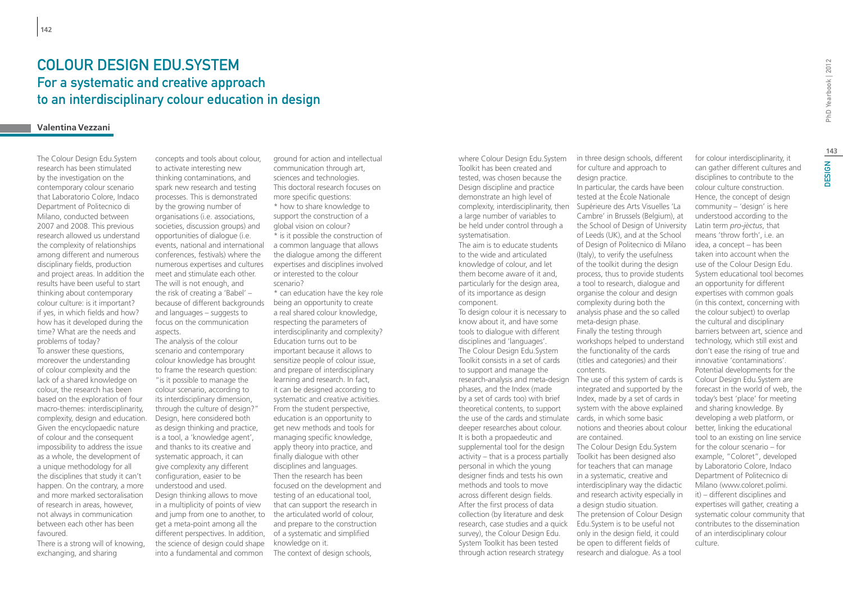# **142**

# COLOUR DESIGN EDU SYSTEM For a systematic and creative approach to an interdisciplinary colour education in design

# **Valentina Vezzani**

The Colour Design Edu.System research has been stimulated by the investigation on the contemporary colour scenario that Laboratorio Colore, Indaco Department of Politecnico di Milano, conducted between 2007 and 2008. This previous research allowed us understand the complexity of relationships among different and numerous disciplinary fields, production and project areas. In addition the results have been useful to start thinking about contemporary colour culture: is it important? if yes, in which fields and how? how has it developed during the time? What are the needs and problems of today?

To answer these questions, moreover the understanding of colour complexity and the lack of a shared knowledge on colour, the research has been based on the exploration of four macro-themes: interdisciplinarity, complexity, design and education. Given the encyclopaedic nature of colour and the consequent impossibility to address the issue as a whole, the development of a unique methodology for all the disciplines that study it can't happen. On the contrary, a more and more marked sectoralisation of research in areas, however, not always in communication between each other has been favoured.

There is a strong will of knowing, exchanging, and sharing

concepts and tools about colour, to activate interesting new thinking contaminations, and spark new research and testing processes. This is demonstrated by the growing number of organisations (i.e. associations, societies, discussion groups) and opportunities of dialogue (i.e. events, national and international conferences, festivals) where the numerous expertises and cultures meet and stimulate each other. The will is not enough, and the risk of creating a 'Babel' – because of different backgrounds and languages – suggests to focus on the communication aspects.

The analysis of the colour scenario and contemporary colour knowledge has brought to frame the research question: "is it possible to manage the colour scenario, according to its interdisciplinary dimension, through the culture of design?" Design, here considered both as design thinking and practice, is a tool, a 'knowledge agent', and thanks to its creative and systematic approach, it can give complexity any different configuration, easier to be understood and used. Design thinking allows to move in a multiplicity of points of view and jump from one to another, to get a meta-point among all the different perspectives. In addition, the science of design could shape into a fundamental and common

ground for action and intellectual communication through art, sciences and technologies. This doctoral research focuses on more specific questions:

\* how to share knowledge to support the construction of a global vision on colour?

\* is it possible the construction of a common language that allows the dialogue among the different expertises and disciplines involved or interested to the colour scenario?

\* can education have the key role being an opportunity to create a real shared colour knowledge, respecting the parameters of interdisciplinarity and complexity? Education turns out to be important because it allows to sensitize people of colour issue, and prepare of interdisciplinary learning and research. In fact, it can be designed according to systematic and creative activities. From the student perspective, education is an opportunity to get new methods and tools for managing specific knowledge, apply theory into practice, and finally dialogue with other disciplines and languages. Then the research has been focused on the development and testing of an educational tool, that can support the research in the articulated world of colour, and prepare to the construction of a systematic and simplified knowledge on it. The context of design schools,

where Colour Design Edu.System Toolkit has been created and tested, was chosen because the Design discipline and practice demonstrate an high level of complexity, interdisciplinarity, then a large number of variables to be held under control through a systematisation.

The aim is to educate students to the wide and articulated knowledge of colour, and let them become aware of it and, particularly for the design area, of its importance as design component.

To design colour it is necessary to know about it, and have some tools to dialogue with different disciplines and 'languages'. The Colour Design Edu.System Toolkit consists in a set of cards to support and manage the phases, and the Index (made by a set of cards too) with brief theoretical contents, to support the use of the cards and stimulate cards, in which some basic deeper researches about colour. It is both a propaedeutic and supplemental tool for the design activity – that is a process partially personal in which the young designer finds and tests his own methods and tools to move across different design fields. After the first process of data collection (by literature and desk research, case studies and a quick survey), the Colour Design Edu. System Toolkit has been tested through action research strategy

research-analysis and meta-design The use of this system of cards is in three design schools, different for culture and approach to design practice. In particular, the cards have been tested at the École Nationale Supérieure des Arts Visuelles 'La Cambre' in Brussels (Belgium), at the School of Design of University of Leeds (UK), and at the School of Design of Politecnico di Milano (Italy), to verify the usefulness of the toolkit during the design process, thus to provide students a tool to research, dialogue and organise the colour and design complexity during both the analysis phase and the so called meta-design phase. Finally the testing through workshops helped to understand the functionality of the cards (titles and categories) and their contents. integrated and supported by the Index, made by a set of cards in

system with the above explained notions and theories about colour are contained. The Colour Design Edu.System Toolkit has been designed also

for teachers that can manage in a systematic, creative and interdisciplinary way the didactic and research activity especially in a design studio situation. The pretension of Colour Design Edu.System is to be useful not only in the design field, it could be open to different fields of research and dialogue. As a tool

culture.

for colour interdisciplinarity, it can gather different cultures and disciplines to contribute to the colour culture construction. Hence, the concept of design community – 'design' is here understood according to the Latin term *pro-jèctus*, that means 'throw forth', i.e. an idea, a concept – has been taken into account when the use of the Colour Design Edu. System educational tool becomes an opportunity for different expertises with common goals (in this context, concerning with the colour subject) to overlap the cultural and disciplinary barriers between art, science and technology, which still exist and don't ease the rising of true and innovative 'contaminations'. Potential developments for the Colour Design Edu.System are forecast in the world of web, the today's best 'place' for meeting and sharing knowledge. By developing a web platform, or better, linking the educational tool to an existing on line service for the colour scenario – for example, "Coloret", developed by Laboratorio Colore, Indaco Department of Politecnico di Milano (www.coloret.polimi. it) – different disciplines and expertises will gather, creating a systematic colour community that contributes to the dissemination of an interdisciplinary colour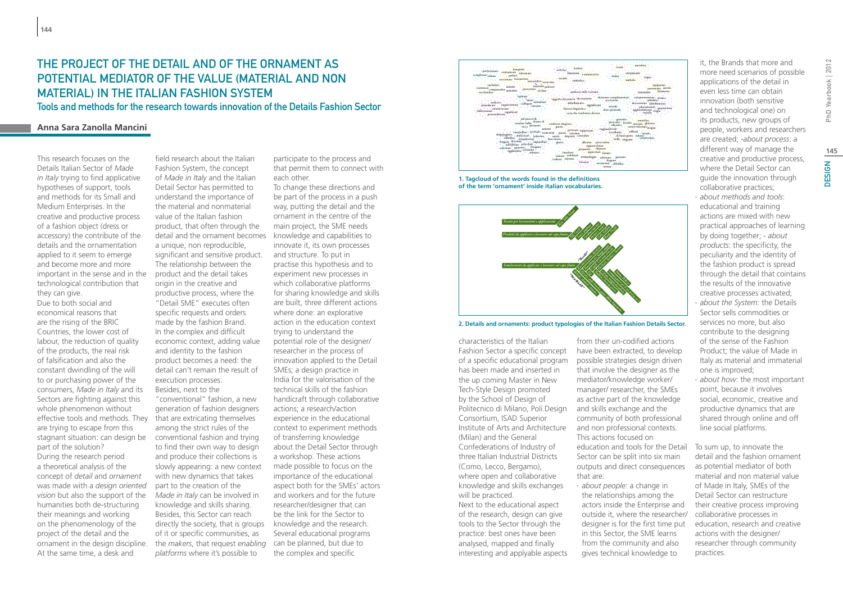# THE PROJECT OF THE DETAIL AND OF THE ORNAMENT AS potential mediator of the value (material and non material) in the italian fashion system Tools and methods for the research towards innovation of the Details Fashion Sector

# **Anna Sara Zanolla Mancini**

This research focuses on the Details Italian Sector of *Made in Italy* trying to find applicative hypotheses of support, tools and methods for its Small and Medium Enterprises. In the creative and productive process of a fashion object (dress or accessory) the contribute of the details and the ornamentation applied to it seem to emerge and become more and more important in the sense and in the technological contribution that they can give. Due to both social and economical reasons that are the rising of the BRIC Countries, the lower cost of labour, the reduction of quality of the products, the real risk of falsification and also the constant dwindling of the will to or purchasing power of the consumers, *Made in Italy* and its Sectors are fighting against this whole phenomenon without effective tools and methods. They that are extricating themselves are trying to escape from this stagnant situation: can design be part of the solution? During the research period a theoretical analysis of the concept of *detail* and *ornament*  was made with a *design oriented vision* but also the support of the humanities both de-structuring their meanings and working on the phenomenology of the project of the detail and the ornament in the design discipline. At the same time, a desk and

field research about the Italian Fashion System, the concept of *Made in Italy* and the Italian Detail Sector has permitted to understand the importance of the material and nonmaterial value of the Italian fashion product, that often through the detail and the ornament becomes knowledge and capabilities to a unique, non reproducible, significant and sensitive product. The relationship between the product and the detail takes origin in the creative and productive process, where the "Detail SME" executes often specific requests and orders made by the fashion Brand. In the complex and difficult economic context, adding value and identity to the fashion product becomes a need: the detail can't remain the result of execution processes. Besides, next to the "conventional" fashion, a new generation of fashion designers among the strict rules of the conventional fashion and trying to find their own way to design and produce their collections is slowly appearing: a new context with new dynamics that takes part to the creation of the *Made in Italy* can be involved in knowledge and skills sharing. Besides, this Sector can reach directly the society, that is groups of it or specific communities, as the *makers*, that request *enabling*  can be planned, but due to *platforms* where it's possible to

participate to the process and that permit them to connect with each other.

To change these directions and be part of the process in a push way, putting the detail and the ornament in the centre of the main project, the SME needs innovate it, its own processes and structure. To put in practise this hypothesis and to experiment new processes in which collaborative platforms for sharing knowledge and skills are built, three different actions where done: an explorative action in the education context trying to understand the potential role of the designer/ researcher in the process of innovation applied to the Detail SMEs; a design practice in India for the valorisation of the technical skills of the fashion handicraft through collaborative actions; a research/action experience in the educational context to experiment methods of transferring knowledge about the Detail Sector through a workshop. These actions made possible to focus on the importance of the educational aspect both for the SMEs' actors and workers and for the future researcher/designer that can be the link for the Sector to knowledge and the research. Several educational programs the complex and specific



**1. Tagcloud of the words found in the definitions of the term 'ornament' inside italian vocabularies.**



**2. Details and ornaments: product typologies of the Italian Fashion Details Sector.**

characteristics of the Italian Fashion Sector a specific concept of a specific educational program has been made and inserted in the up coming Master in New Tech-Style Design promoted by the School of Design of Politecnico di Milano, Poli.Design and skills exchange and the Consortium, ISAD Superior Institute of Arts and Architecture (Milan) and the General Confederations of Industry of three Italian Industrial Districts (Como, Lecco, Bergamo), where open and collaborative knowledge and skills exchanges will be practiced. Next to the educational aspect of the research, design can give tools to the Sector through the practice: best ones have been analysed, mapped and finally interesting and applyable aspects

from their un-codified actions have been extracted, to develop possible strategies design driven that involve the designer as the mediator/knowledge worker/ manager/ researcher, the SMEs as active part of the knowledge community of both professional and non professional contexts. This actions focused on education and tools for the Detail Sector can be split into six main outputs and direct consequences that are: ∙ *about people*: a change in

the relationships among the actors inside the Enterprise and outside it, where the researcher/ designer is for the first time put in this Sector, the SME learns from the community and also gives technical knowledge to

it, the Brands that more and more need scenarios of possible applications of the detail in even less time can obtain innovation (both sensitive and technological one) on its products, new groups of people, workers and researchers are created; -*about process*: a different way of manage the creative and productive process, where the Detail Sector can guide the innovation through collaborative practices; ∙ *about methods and tools*: educational and training actions are mixed with new practical approaches of learning by doing together; - *about products*: the specificity, the peculiarity and the identity of the fashion product is spread through the detail that cointains the results of the innovative creative processes activated; ∙ *about the System*: the Details Sector sells commodities or services no more, but also contribute to the designing of the sense of the Fashion Product; the value of Made in Italy as material and immaterial one is improved;

∙ *about how*: the most important point, because it involves social, economic, creative and productive dynamics that are shared through online and off line social platforms.

To sum up, to innovate the detail and the fashion ornament as potential mediator of both material and non material value of Made in Italy, SMEs of the Detail Sector can restructure their creative process improving collaborative processes in education, research and creative actions with the designer/ researcher through community practices.